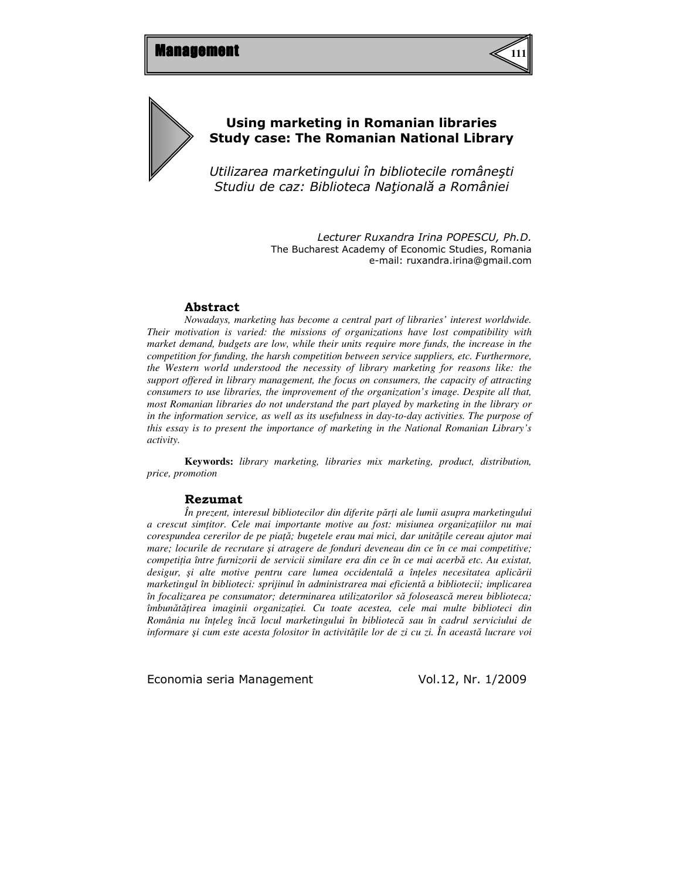



# Using marketing in Romanian libraries Study case: The Romanian National Library

Utilizarea marketingului în bibliotecile româneşti Studiu de caz: Biblioteca Naţională a României

> Lecturer Ruxandra Irina POPESCU, Ph.D. The Bucharest Academy of Economic Studies, Romania e-mail: ruxandra.irina@gmail.com

#### Abstract

*Nowadays, marketing has become a central part of libraries' interest worldwide. Their motivation is varied: the missions of organizations have lost compatibility with market demand, budgets are low, while their units require more funds, the increase in the competition for funding, the harsh competition between service suppliers, etc. Furthermore, the Western world understood the necessity of library marketing for reasons like: the support offered in library management, the focus on consumers, the capacity of attracting consumers to use libraries, the improvement of the organization's image. Despite all that, most Romanian libraries do not understand the part played by marketing in the library or in the information service, as well as its usefulness in day-to-day activities. The purpose of this essay is to present the importance of marketing in the National Romanian Library's activity.*

**Keywords:** *library marketing, libraries mix marketing, product, distribution, price, promotion* 

#### Rezumat

*În prezent, interesul bibliotecilor din diferite p*ă*r*ţ*i ale lumii asupra marketingului a crescut sim*ţ*itor. Cele mai importante motive au fost: misiunea organiza*ţ*iilor nu mai corespundea cererilor de pe pia*ţă*; bugetele erau mai mici, dar unit*ăţ*ile cereau ajutor mai mare; locurile de recrutare* ş*i atragere de fonduri deveneau din ce în ce mai competitive; competi*ţ*ia între furnizorii de servicii similare era din ce în ce mai acerb*ă *etc. Au existat, desigur,* ş*i alte motive pentru care lumea occidental*ă *a în*ţ*eles necesitatea aplic*ă*rii marketingul în biblioteci: sprijinul în administrarea mai eficient*ă *a bibliotecii; implicarea în focalizarea pe consumator; determinarea utilizatorilor s*ă *foloseasc*ă *mereu biblioteca; îmbun*ă*t*ăţ*irea imaginii organiza*ţ*iei. Cu toate acestea, cele mai multe biblioteci din România nu în*ţ*eleg înc*ă *locul marketingului în bibliotec*ă *sau în cadrul serviciului de informare* ş*i cum este acesta folositor în activit*ăţ*ile lor de zi cu zi. În aceast*ă *lucrare voi*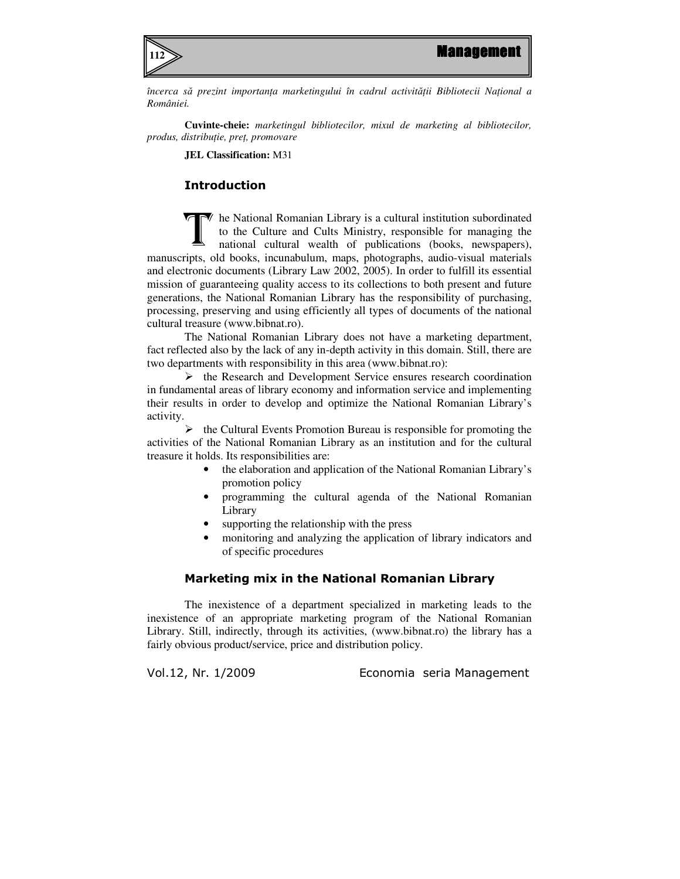

*încerca s*ă *prezint importan*ţ*a marketingului în cadrul activit*ăţ*ii Bibliotecii Na*ţ*ional a României.* 

**Cuvinte-cheie:** *marketingul bibliotecilor, mixul de marketing al bibliotecilor, produs, distribu*ţ*ie, pre*ţ*, promovare* 

**JEL Classification:** M31

## Introduction

 $\blacktriangledown$  he National Romanian Library is a cultural institution subordinated to the Culture and Cults Ministry, responsible for managing the national cultural wealth of publications (books, newspapers), manuscripts, old books, incunabulum, maps, photographs, audio-visual materials and electronic documents (Library Law 2002, 2005). In order to fulfill its essential mission of guaranteeing quality access to its collections to both present and future generations, the National Romanian Library has the responsibility of purchasing, processing, preserving and using efficiently all types of documents of the national cultural treasure (www.bibnat.ro). T

The National Romanian Library does not have a marketing department, fact reflected also by the lack of any in-depth activity in this domain. Still, there are two departments with responsibility in this area (www.bibnat.ro):

 $\triangleright$  the Research and Development Service ensures research coordination in fundamental areas of library economy and information service and implementing their results in order to develop and optimize the National Romanian Library's activity.

 $\triangleright$  the Cultural Events Promotion Bureau is responsible for promoting the activities of the National Romanian Library as an institution and for the cultural treasure it holds. Its responsibilities are:

- the elaboration and application of the National Romanian Library's promotion policy
- programming the cultural agenda of the National Romanian Library
- supporting the relationship with the press
- monitoring and analyzing the application of library indicators and of specific procedures

## Marketing mix in the National Romanian Library

The inexistence of a department specialized in marketing leads to the inexistence of an appropriate marketing program of the National Romanian Library. Still, indirectly, through its activities, (www.bibnat.ro) the library has a fairly obvious product/service, price and distribution policy.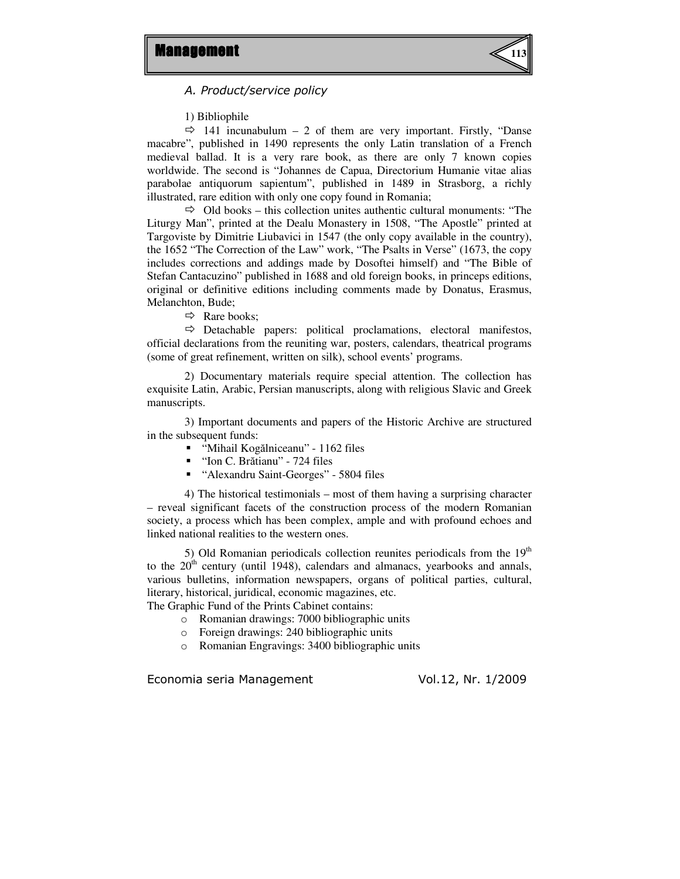

A. Product/service policy

1) Bibliophile

 $\Rightarrow$  141 incunabulum – 2 of them are very important. Firstly, "Danse macabre", published in 1490 represents the only Latin translation of a French medieval ballad. It is a very rare book, as there are only 7 known copies worldwide. The second is "Johannes de Capua, Directorium Humanie vitae alias parabolae antiquorum sapientum", published in 1489 in Strasborg, a richly illustrated, rare edition with only one copy found in Romania;

 $\Rightarrow$  Old books – this collection unites authentic cultural monuments: "The Liturgy Man", printed at the Dealu Monastery in 1508, "The Apostle" printed at Targoviste by Dimitrie Liubavici in 1547 (the only copy available in the country), the 1652 "The Correction of the Law" work, "The Psalts in Verse" (1673, the copy includes corrections and addings made by Dosoftei himself) and "The Bible of Stefan Cantacuzino" published in 1688 and old foreign books, in princeps editions, original or definitive editions including comments made by Donatus, Erasmus, Melanchton, Bude;

 $\Rightarrow$  Rare books;

 $\Rightarrow$  Detachable papers: political proclamations, electoral manifestos, official declarations from the reuniting war, posters, calendars, theatrical programs (some of great refinement, written on silk), school events' programs.

 2) Documentary materials require special attention. The collection has exquisite Latin, Arabic, Persian manuscripts, along with religious Slavic and Greek manuscripts.

3) Important documents and papers of the Historic Archive are structured in the subsequent funds:

- "Mihail Kogălniceanu" 1162 files
- "Ion C. Brătianu" 724 files
- "Alexandru Saint-Georges" 5804 files

4) The historical testimonials – most of them having a surprising character – reveal significant facets of the construction process of the modern Romanian society, a process which has been complex, ample and with profound echoes and linked national realities to the western ones.

5) Old Romanian periodicals collection reunites periodicals from the  $19<sup>th</sup>$ to the  $20<sup>th</sup>$  century (until 1948), calendars and almanacs, yearbooks and annals, various bulletins, information newspapers, organs of political parties, cultural, literary, historical, juridical, economic magazines, etc. The Graphic Fund of the Prints Cabinet contains:

- o Romanian drawings: 7000 bibliographic units
- o Foreign drawings: 240 bibliographic units
- o Romanian Engravings: 3400 bibliographic units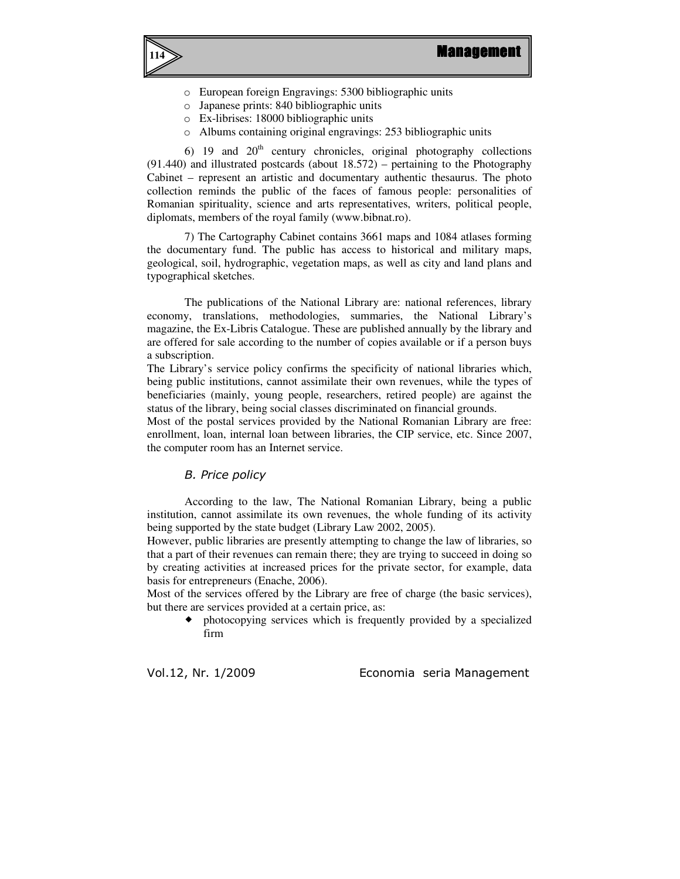

- o European foreign Engravings: 5300 bibliographic units
- o Japanese prints: 840 bibliographic units
- o Ex-librises: 18000 bibliographic units
- o Albums containing original engravings: 253 bibliographic units

6) 19 and  $20<sup>th</sup>$  century chronicles, original photography collections (91.440) and illustrated postcards (about 18.572) – pertaining to the Photography Cabinet – represent an artistic and documentary authentic thesaurus. The photo collection reminds the public of the faces of famous people: personalities of Romanian spirituality, science and arts representatives, writers, political people, diplomats, members of the royal family (www.bibnat.ro).

7) The Cartography Cabinet contains 3661 maps and 1084 atlases forming the documentary fund. The public has access to historical and military maps, geological, soil, hydrographic, vegetation maps, as well as city and land plans and typographical sketches.

 The publications of the National Library are: national references, library economy, translations, methodologies, summaries, the National Library's magazine, the Ex-Libris Catalogue. These are published annually by the library and are offered for sale according to the number of copies available or if a person buys a subscription.

The Library's service policy confirms the specificity of national libraries which, being public institutions, cannot assimilate their own revenues, while the types of beneficiaries (mainly, young people, researchers, retired people) are against the status of the library, being social classes discriminated on financial grounds.

Most of the postal services provided by the National Romanian Library are free: enrollment, loan, internal loan between libraries, the CIP service, etc. Since 2007, the computer room has an Internet service.

#### B. Price policy

According to the law, The National Romanian Library, being a public institution, cannot assimilate its own revenues, the whole funding of its activity being supported by the state budget (Library Law 2002, 2005).

However, public libraries are presently attempting to change the law of libraries, so that a part of their revenues can remain there; they are trying to succeed in doing so by creating activities at increased prices for the private sector, for example, data basis for entrepreneurs (Enache, 2006).

Most of the services offered by the Library are free of charge (the basic services), but there are services provided at a certain price, as:

 photocopying services which is frequently provided by a specialized firm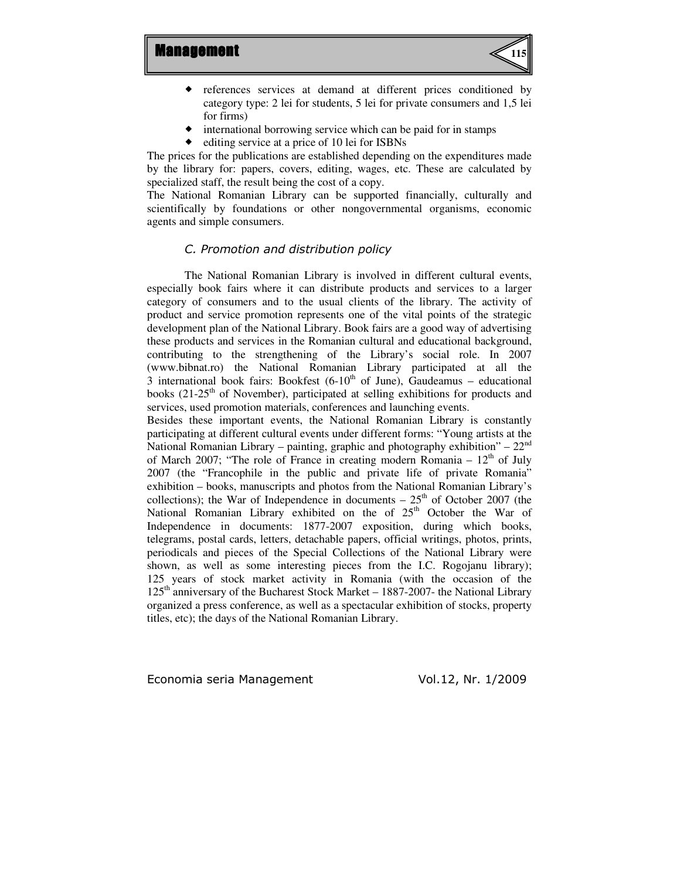

- references services at demand at different prices conditioned by category type: 2 lei for students, 5 lei for private consumers and 1,5 lei for firms)
- international borrowing service which can be paid for in stamps
- editing service at a price of 10 lei for ISBNs

The prices for the publications are established depending on the expenditures made by the library for: papers, covers, editing, wages, etc. These are calculated by specialized staff, the result being the cost of a copy.

The National Romanian Library can be supported financially, culturally and scientifically by foundations or other nongovernmental organisms, economic agents and simple consumers.

#### C. Promotion and distribution policy

The National Romanian Library is involved in different cultural events, especially book fairs where it can distribute products and services to a larger category of consumers and to the usual clients of the library. The activity of product and service promotion represents one of the vital points of the strategic development plan of the National Library. Book fairs are a good way of advertising these products and services in the Romanian cultural and educational background, contributing to the strengthening of the Library's social role. In 2007 (www.bibnat.ro) the National Romanian Library participated at all the 3 international book fairs: Bookfest  $(6-10<sup>th</sup>$  of June), Gaudeamus – educational books (21-25<sup>th</sup> of November), participated at selling exhibitions for products and services, used promotion materials, conferences and launching events.

Besides these important events, the National Romanian Library is constantly participating at different cultural events under different forms: "Young artists at the National Romanian Library – painting, graphic and photography exhibition" –  $22<sup>nd</sup>$ of March 2007; "The role of France in creating modern Romania  $-12<sup>th</sup>$  of July 2007 (the "Francophile in the public and private life of private Romania" exhibition – books, manuscripts and photos from the National Romanian Library's collections); the War of Independence in documents  $-25<sup>th</sup>$  of October 2007 (the National Romanian Library exhibited on the of  $25<sup>th</sup>$  October the War of Independence in documents: 1877-2007 exposition, during which books, telegrams, postal cards, letters, detachable papers, official writings, photos, prints, periodicals and pieces of the Special Collections of the National Library were shown, as well as some interesting pieces from the I.C. Rogojanu library); 125 years of stock market activity in Romania (with the occasion of the 125<sup>th</sup> anniversary of the Bucharest Stock Market – 1887-2007- the National Library organized a press conference, as well as a spectacular exhibition of stocks, property titles, etc); the days of the National Romanian Library.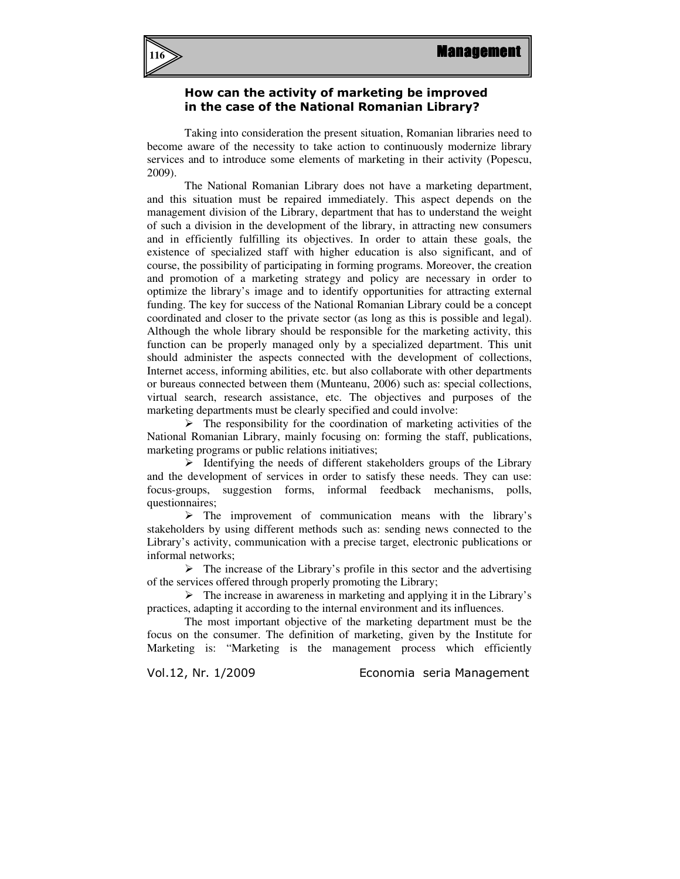

## How can the activity of marketing be improved in the case of the National Romanian Library?

Taking into consideration the present situation, Romanian libraries need to become aware of the necessity to take action to continuously modernize library services and to introduce some elements of marketing in their activity (Popescu, 2009).

The National Romanian Library does not have a marketing department, and this situation must be repaired immediately. This aspect depends on the management division of the Library, department that has to understand the weight of such a division in the development of the library, in attracting new consumers and in efficiently fulfilling its objectives. In order to attain these goals, the existence of specialized staff with higher education is also significant, and of course, the possibility of participating in forming programs. Moreover, the creation and promotion of a marketing strategy and policy are necessary in order to optimize the library's image and to identify opportunities for attracting external funding. The key for success of the National Romanian Library could be a concept coordinated and closer to the private sector (as long as this is possible and legal). Although the whole library should be responsible for the marketing activity, this function can be properly managed only by a specialized department. This unit should administer the aspects connected with the development of collections, Internet access, informing abilities, etc. but also collaborate with other departments or bureaus connected between them (Munteanu, 2006) such as: special collections, virtual search, research assistance, etc. The objectives and purposes of the marketing departments must be clearly specified and could involve:

 $\triangleright$  The responsibility for the coordination of marketing activities of the National Romanian Library, mainly focusing on: forming the staff, publications, marketing programs or public relations initiatives;

 $\triangleright$  Identifying the needs of different stakeholders groups of the Library and the development of services in order to satisfy these needs. They can use: focus-groups, suggestion forms, informal feedback mechanisms, polls, questionnaires;

 $\triangleright$  The improvement of communication means with the library's stakeholders by using different methods such as: sending news connected to the Library's activity, communication with a precise target, electronic publications or informal networks;

 $\triangleright$  The increase of the Library's profile in this sector and the advertising of the services offered through properly promoting the Library;

 $\triangleright$  The increase in awareness in marketing and applying it in the Library's practices, adapting it according to the internal environment and its influences.

The most important objective of the marketing department must be the focus on the consumer. The definition of marketing, given by the Institute for Marketing is: "Marketing is the management process which efficiently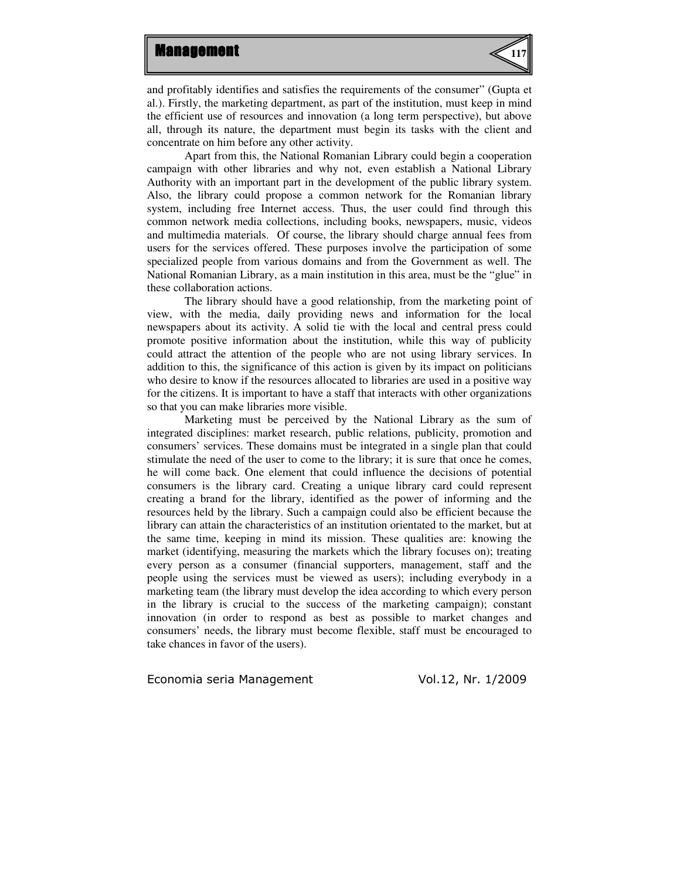

and profitably identifies and satisfies the requirements of the consumer" (Gupta et al.). Firstly, the marketing department, as part of the institution, must keep in mind the efficient use of resources and innovation (a long term perspective), but above all, through its nature, the department must begin its tasks with the client and concentrate on him before any other activity.

Apart from this, the National Romanian Library could begin a cooperation campaign with other libraries and why not, even establish a National Library Authority with an important part in the development of the public library system. Also, the library could propose a common network for the Romanian library system, including free Internet access. Thus, the user could find through this common network media collections, including books, newspapers, music, videos and multimedia materials. Of course, the library should charge annual fees from users for the services offered. These purposes involve the participation of some specialized people from various domains and from the Government as well. The National Romanian Library, as a main institution in this area, must be the "glue" in these collaboration actions.

The library should have a good relationship, from the marketing point of view, with the media, daily providing news and information for the local newspapers about its activity. A solid tie with the local and central press could promote positive information about the institution, while this way of publicity could attract the attention of the people who are not using library services. In addition to this, the significance of this action is given by its impact on politicians who desire to know if the resources allocated to libraries are used in a positive way for the citizens. It is important to have a staff that interacts with other organizations so that you can make libraries more visible.

Marketing must be perceived by the National Library as the sum of integrated disciplines: market research, public relations, publicity, promotion and consumers' services. These domains must be integrated in a single plan that could stimulate the need of the user to come to the library; it is sure that once he comes, he will come back. One element that could influence the decisions of potential consumers is the library card. Creating a unique library card could represent creating a brand for the library, identified as the power of informing and the resources held by the library. Such a campaign could also be efficient because the library can attain the characteristics of an institution orientated to the market, but at the same time, keeping in mind its mission. These qualities are: knowing the market (identifying, measuring the markets which the library focuses on); treating every person as a consumer (financial supporters, management, staff and the people using the services must be viewed as users); including everybody in a marketing team (the library must develop the idea according to which every person in the library is crucial to the success of the marketing campaign); constant innovation (in order to respond as best as possible to market changes and consumers' needs, the library must become flexible, staff must be encouraged to take chances in favor of the users).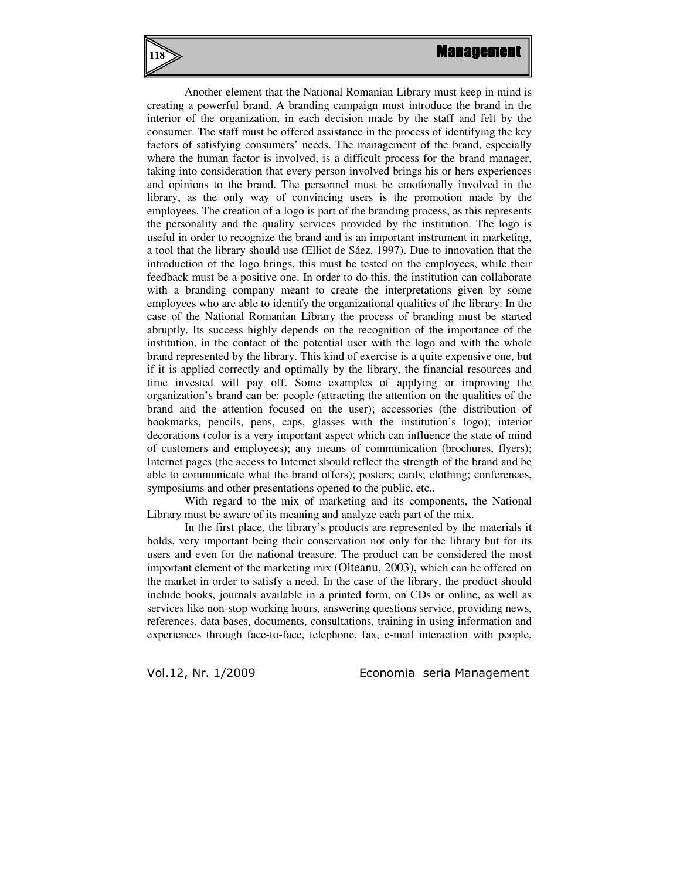**118**

Another element that the National Romanian Library must keep in mind is creating a powerful brand. A branding campaign must introduce the brand in the interior of the organization, in each decision made by the staff and felt by the consumer. The staff must be offered assistance in the process of identifying the key factors of satisfying consumers' needs. The management of the brand, especially where the human factor is involved, is a difficult process for the brand manager, taking into consideration that every person involved brings his or hers experiences and opinions to the brand. The personnel must be emotionally involved in the library, as the only way of convincing users is the promotion made by the employees. The creation of a logo is part of the branding process, as this represents the personality and the quality services provided by the institution. The logo is useful in order to recognize the brand and is an important instrument in marketing, a tool that the library should use (Elliot de Sáez, 1997). Due to innovation that the introduction of the logo brings, this must be tested on the employees, while their feedback must be a positive one. In order to do this, the institution can collaborate with a branding company meant to create the interpretations given by some employees who are able to identify the organizational qualities of the library. In the case of the National Romanian Library the process of branding must be started abruptly. Its success highly depends on the recognition of the importance of the institution, in the contact of the potential user with the logo and with the whole brand represented by the library. This kind of exercise is a quite expensive one, but if it is applied correctly and optimally by the library, the financial resources and time invested will pay off. Some examples of applying or improving the organization's brand can be: people (attracting the attention on the qualities of the brand and the attention focused on the user); accessories (the distribution of bookmarks, pencils, pens, caps, glasses with the institution's logo); interior decorations (color is a very important aspect which can influence the state of mind of customers and employees); any means of communication (brochures, flyers); Internet pages (the access to Internet should reflect the strength of the brand and be able to communicate what the brand offers); posters; cards; clothing; conferences, symposiums and other presentations opened to the public, etc..

With regard to the mix of marketing and its components, the National Library must be aware of its meaning and analyze each part of the mix.

In the first place, the library's products are represented by the materials it holds, very important being their conservation not only for the library but for its users and even for the national treasure. The product can be considered the most important element of the marketing mix (Olteanu, 2003), which can be offered on the market in order to satisfy a need. In the case of the library, the product should include books, journals available in a printed form, on CDs or online, as well as services like non-stop working hours, answering questions service, providing news, references, data bases, documents, consultations, training in using information and experiences through face-to-face, telephone, fax, e-mail interaction with people,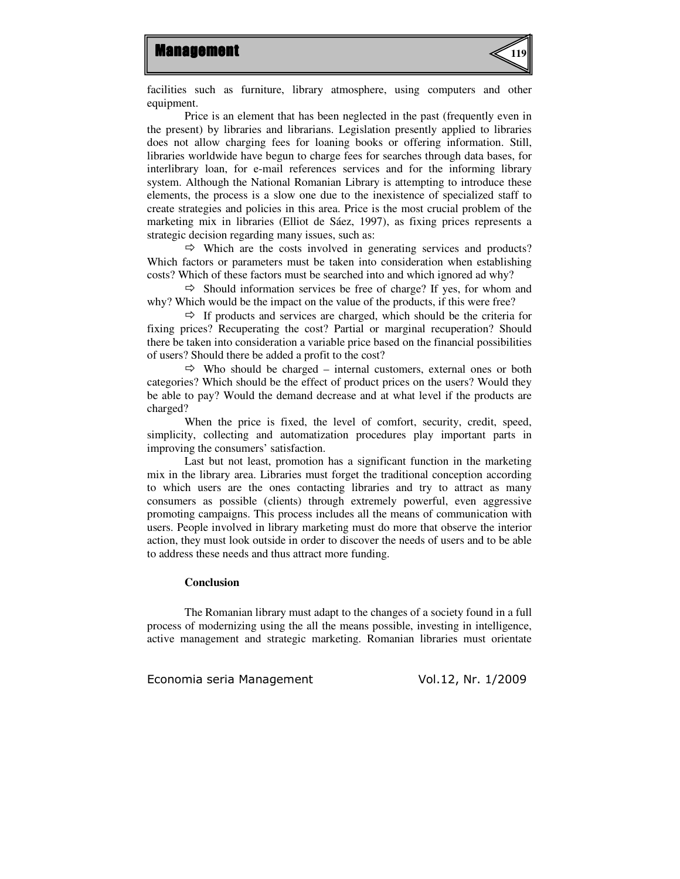

facilities such as furniture, library atmosphere, using computers and other equipment.

Price is an element that has been neglected in the past (frequently even in the present) by libraries and librarians. Legislation presently applied to libraries does not allow charging fees for loaning books or offering information. Still, libraries worldwide have begun to charge fees for searches through data bases, for interlibrary loan, for e-mail references services and for the informing library system. Although the National Romanian Library is attempting to introduce these elements, the process is a slow one due to the inexistence of specialized staff to create strategies and policies in this area. Price is the most crucial problem of the marketing mix in libraries (Elliot de Sáez, 1997), as fixing prices represents a strategic decision regarding many issues, such as:

 $\Rightarrow$  Which are the costs involved in generating services and products? Which factors or parameters must be taken into consideration when establishing costs? Which of these factors must be searched into and which ignored ad why?

 $\Rightarrow$  Should information services be free of charge? If yes, for whom and why? Which would be the impact on the value of the products, if this were free?

 $\Rightarrow$  If products and services are charged, which should be the criteria for fixing prices? Recuperating the cost? Partial or marginal recuperation? Should there be taken into consideration a variable price based on the financial possibilities of users? Should there be added a profit to the cost?

 $\Leftrightarrow$  Who should be charged – internal customers, external ones or both categories? Which should be the effect of product prices on the users? Would they be able to pay? Would the demand decrease and at what level if the products are charged?

When the price is fixed, the level of comfort, security, credit, speed, simplicity, collecting and automatization procedures play important parts in improving the consumers' satisfaction.

Last but not least, promotion has a significant function in the marketing mix in the library area. Libraries must forget the traditional conception according to which users are the ones contacting libraries and try to attract as many consumers as possible (clients) through extremely powerful, even aggressive promoting campaigns. This process includes all the means of communication with users. People involved in library marketing must do more that observe the interior action, they must look outside in order to discover the needs of users and to be able to address these needs and thus attract more funding.

#### **Conclusion**

The Romanian library must adapt to the changes of a society found in a full process of modernizing using the all the means possible, investing in intelligence, active management and strategic marketing. Romanian libraries must orientate